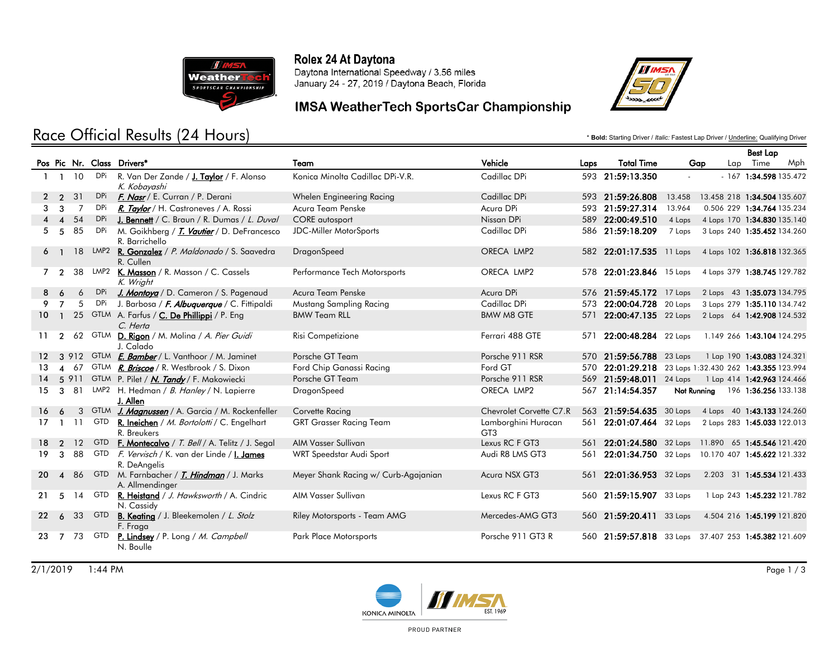

# Race Official Results (24 Hours)

#### Rolex 24 At Daytona

Daytona International Speedway / 3.56 miles January 24 - 27, 2019 / Daytona Beach, Florida

## IMSA WeatherTech SportsCar Championship



\* **Bold:** Starting Driver / *Italic:* Fastest Lap Driver / Underline: Qualifying Driver

|    |                        |              |            |                                                                      |                                      |                                        |      |                          |             | <b>Best Lap</b>                                        |
|----|------------------------|--------------|------------|----------------------------------------------------------------------|--------------------------------------|----------------------------------------|------|--------------------------|-------------|--------------------------------------------------------|
|    |                        |              |            | Pos Pic Nr. Class Drivers*                                           | Team                                 | Vehicle                                | Laps | <b>Total Time</b>        | Gap         | Lap Time<br>Mph                                        |
|    |                        | $1 \t1 \t10$ | DPi        | R. Van Der Zande / J. Taylor / F. Alonso<br>K. Kobayashi             | Konica Minolta Cadillac DPi-V.R.     | Cadillac DPi                           |      | 593 21:59:13.350         |             | $-167$ 1:34.598 135.472                                |
| 2  | $\overline{2}$         | 31           |            | DPi <i>F. Nasr</i> / E. Curran / P. Derani                           | Whelen Engineering Racing            | Cadillac DPi                           |      | 593 21:59:26.808         | 13.458      | 13.458 218 1:34.504 135.607                            |
| 3  | 3                      | 7            | <b>DPi</b> | R. Taylor / H. Castroneves / A. Rossi                                | Acura Team Penske                    | Acura DPi                              |      | 593 21:59:27.314         | 13.964      | 0.506 229 1:34.764 135.234                             |
|    | $\boldsymbol{\Lambda}$ | 54           | DPi        | J. Bennett / C. Braun / R. Dumas / L. Duval                          | <b>CORE</b> autosport                | Nissan DPi                             |      | 589 22:00:49.510         | 4 Laps      | 4 Laps 170 1:34.830 135.140                            |
| 5  | 5                      | 85           | DPi        | M. Goikhberg / T. Vautier / D. DeFrancesco<br>R. Barrichello         | <b>JDC-Miller MotorSports</b>        | Cadillac DPi                           |      | 586 21:59:18.209         | 7 Laps      | 3 Laps 240 1:35.452 134.260                            |
|    |                        |              |            | 18 LMP2 <b>R. Gonzalez</b> / P. Maldonado / S. Saavedra<br>R. Cullen | DragonSpeed                          | ORECA LMP2                             |      | 582 22:01:17.535 11 Laps |             | 4 Laps 102 1:36.818 132.365                            |
|    | 7 2                    |              |            | 38 LMP2 K. Masson / R. Masson / C. Cassels<br>K. Wright              | Performance Tech Motorsports         | ORECA LMP2                             | 578  | $22:01:23.846$ 15 Laps   |             | 4 Laps 379 1:38.745 129.782                            |
| 8  | -6                     | 6            | DPi        | J. Montoya / D. Cameron / S. Pagenaud                                | Acura Team Penske                    | Acura DPi                              |      | 576 21:59:45.172 17 Laps |             | 2 Laps 43 1:35.073 134.795                             |
| 9  | $\overline{7}$         | 5            | DPi        | J. Barbosa / F. Albuquerque / C. Fittipaldi                          | Mustang Sampling Racing              | Cadillac DPi                           | 573  | 22:00:04.728 20 Laps     |             | 3 Laps 279 1:35.110 134.742                            |
| 10 |                        |              |            | 25 GTLM A. Farfus / C. De Phillippi / P. Eng<br>C. Herta             | <b>BMW Team RLL</b>                  | <b>BMW M8 GTE</b>                      |      |                          |             | 571 22:00:47.135 22 Laps 2 Laps 64 1:42.908 124.532    |
| 11 | $\mathcal{P}$          |              |            | 62 GTLM <b>D. Rigon</b> / M. Molina / A. Pier Guidi<br>J. Calado     | Risi Competizione                    | Ferrari 488 GTE                        | 571  | 22:00:48.284 22 Laps     |             | 1.149 266 1:43.104 124.295                             |
|    |                        |              |            | 3 912 GTLM <i>E. Bamber</i> / L. Vanthoor / M. Jaminet               | Porsche GT Team                      | Porsche 911 RSR                        |      | 570 21:59:56.788 23 Laps |             | 1 Lap 190 1:43.083 124.321                             |
| 13 |                        |              |            | 4 67 GTLM <b>R. Briscoe</b> / R. Westbrook / S. Dixon                | Ford Chip Ganassi Racing             | Ford GT                                |      |                          |             | 570 22:01:29.218 23 Laps 1:32.430 262 1:43.355 123.994 |
| 14 |                        |              |            | 5 911 GTLM P. Pilet / N. Tandy / F. Makowiecki                       | Porsche GT Team                      | Porsche 911 RSR                        |      | 569 21:59:48.011 24 Laps |             | 1 Lap 414 1:42.963 124.466                             |
| 15 | 3                      | -81          |            | LMP2 H. Hedman / B. Hanley / N. Lapierre<br>J. Allen                 | DragonSpeed                          | ORECA LMP2                             | 567  | 21:14:54.357             | Not Running | 196 1:36.256 133.138                                   |
| 16 | 6                      |              |            | 3 GTLM J. Magnussen / A. Garcia / M. Rockenfeller                    | Corvette Racing                      | Chevrolet Corvette C7.R                |      | 563 21:59:54.635 30 Laps |             | 4 Laps 40 1:43.133 124.260                             |
| 17 | -1                     | 11           | GTD        | R. Ineichen / M. Bortolotti / C. Engelhart<br>R. Breukers            | <b>GRT Grasser Racing Team</b>       | Lamborghini Huracan<br>GT <sub>3</sub> |      | 561 22:01:07.464 32 Laps |             | 2 Laps 283 1:45.033 122.013                            |
| 18 | $\overline{2}$         | 12           | <b>GTD</b> | <b>F. Montecalvo</b> / T. Bell / A. Telitz / J. Segal                | AIM Vasser Sullivan                  | Lexus RC F GT3                         | 561  |                          |             | 22:01:24.580 32 Laps 11.890 65 1:45.546 121.420        |
| 19 | 3                      | 88           |            | GTD F. Vervisch / K. van der Linde / 1. James<br>R. DeAngelis        | WRT Speedstar Audi Sport             | Audi R8 LMS GT3                        | 561  | 22:01:34.750 32 Laps     |             | 10.170 407 1:45.622 121.332                            |
| 20 | $\boldsymbol{\Lambda}$ | 86           | <b>GTD</b> | M. Farnbacher / <i>T. Hindman</i> / J. Marks<br>A. Allmendinger      | Meyer Shank Racing w/ Curb-Agajanian | Acura NSX GT3                          | 561  | 22:01:36.953 32 Laps     |             | 2.203 31 1:45.534 121.433                              |
| 21 | 5                      | 14           | GTD        | R. Heistand / J. Hawksworth / A. Cindric<br>N. Cassidy               | AIM Vasser Sullivan                  | Lexus RC F GT3                         |      | 560 21:59:15.907 33 Laps |             | 1 Lap 243 1:45.232 121.782                             |
| 22 | 6                      | 33           | <b>GTD</b> | <b>B. Keating</b> / J. Bleekemolen / L. Stolz<br>F. Fraga            | Riley Motorsports - Team AMG         | Mercedes-AMG GT3                       |      | 560 21:59:20.411 33 Laps |             | 4.504 216 1:45.199 121.820                             |
| 23 | $\overline{7}$         | 73           | GTD        | <b>P. Lindsey</b> / P. Long / M. Campbell<br>N. Boulle               | Park Place Motorsports               | Porsche 911 GT3 R                      |      |                          |             | 560 21:59:57.818 33 Laps 37.407 253 1:45.382 121.609   |



PROUD PARTNER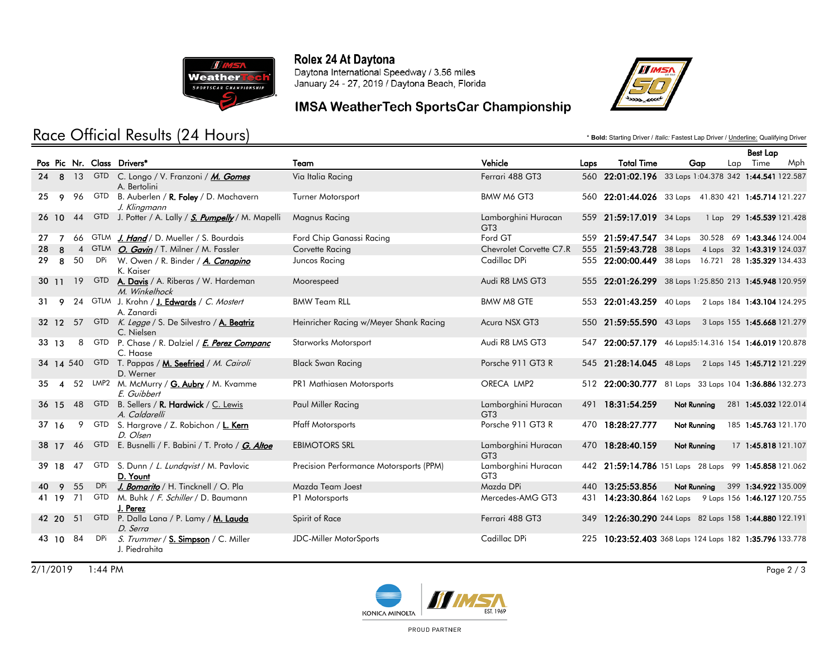

# Race Official Results (24 Hours)

#### Rolex 24 At Daytona

Daytona International Speedway / 3.56 miles January 24 - 27, 2019 / Daytona Beach, Florida

## IMSA WeatherTech SportsCar Championship



\* **Bold:** Starting Driver / *Italic:* Fastest Lap Driver / Underline: Qualifying Driver

|     |                        |    |        |                                                                    |                                         |                                        |      |                          |                                                        | <b>Best Lap</b>           |
|-----|------------------------|----|--------|--------------------------------------------------------------------|-----------------------------------------|----------------------------------------|------|--------------------------|--------------------------------------------------------|---------------------------|
|     |                        |    |        | Pos Pic Nr. Class Drivers*                                         | Team                                    | Vehicle                                | Laps | <b>Total Time</b>        | Gap                                                    | Lap Time<br>Mph           |
|     |                        |    |        | 24 8 13 GTD C. Longo / V. Franzoni / M. Gomes<br>A. Bertolini      | Via Italia Racing                       | Ferrari 488 GT3                        |      |                          | 560 22:01:02.196 33 Laps 1:04.378 342 1:44.541 122.587 |                           |
| 25. | 9                      |    | 96 GTD | B. Auberlen / <b>R. Foley</b> / D. Machavern<br>J. Klingmann       | <b>Turner Motorsport</b>                | BMW M6 GT3                             |      |                          | 560 22:01:44.026 33 Laps 41.830 421 1:45.714 121.227   |                           |
|     | 26 10                  |    |        | 44 GTD J. Potter / A. Lally / S. Pumpelly / M. Mapelli             | Magnus Racing                           | Lamborghini Huracan<br>GT <sub>3</sub> |      | 559 21:59:17.019 34 Laps |                                                        | 1 Lap 29 1:45.539 121.428 |
| 27  | $\overline{7}$         |    |        | 66 GTLM J. Hand / D. Mueller / S. Bourdais                         | Ford Chip Ganassi Racing                | Ford GT                                |      |                          | 559 21:59:47.547 34 Laps 30.528 69 1:43.346 124.004    |                           |
| 28  | 8                      |    |        | 4 GTLM <i>O. Gavin</i> / T. Milner / M. Fassler                    | Corvette Racing                         | Chevrolet Corvette C7.R                |      |                          | 555 21:59:43.728 38 Laps 4 Laps 32 1:43.319 124.037    |                           |
| 29  | 8                      | 50 |        | DPi W. Owen / R. Binder / A. Canapino<br>K. Kaiser                 | Juncos Racing                           | Cadillac DPi                           |      |                          | 555 22:00:00.449 38 Laps 16.721 28 1:35.329 134.433    |                           |
|     | 30 11                  |    | 19 GTD | A. Davis / A. Riberas / W. Hardeman<br>M. Winkelhock               | Moorespeed                              | Audi R8 LMS GT3                        |      |                          | 555 22:01:26.299 38 Laps 1:25.850 213 1:45.948 120.959 |                           |
| 31  | 9                      |    |        | 24 GTLM J. Krohn / <b>J. Edwards</b> / C. Mostert<br>A. Zanardi    | <b>BMW Team RLL</b>                     | <b>BMW M8 GTE</b>                      |      |                          | 553 22:01:43.259 40 Laps 2 Laps 184 1:43.104 124.295   |                           |
|     |                        |    |        | 32 12 57 GTD K. Legge / S. De Silvestro / A. Beatriz<br>C. Nielsen | Heinricher Racing w/Meyer Shank Racing  | Acura NSX GT3                          |      |                          | 550 21:59:55.590 43 Laps 3 Laps 155 1:45.668 121.279   |                           |
|     | $33 \quad 13$          |    |        | 8 GTD P. Chase / R. Dalziel / <i>E. Perez Companc</i><br>C. Haase  | <b>Starworks Motorsport</b>             | Audi R8 LMS GT3                        |      |                          | 547 22:00:57.179 46 Laps35:14.316 154 1:46.019 120.878 |                           |
|     |                        |    |        | 34 14 540 GTD T. Pappas / M. Seefried / M. Cairoli<br>D. Werner    | <b>Black Swan Racing</b>                | Porsche 911 GT3 R                      |      |                          | 545 21:28:14.045 48 Laps 2 Laps 145 1:45.712 121.229   |                           |
| 35. | $\boldsymbol{\Lambda}$ |    |        | 52 LMP2 M. McMurry / G. Aubry / M. Kvamme<br>E. Guibbert           | PR1 Mathiasen Motorsports               | ORECA LMP2                             |      |                          | 512 22:00:30.777 81 Laps 33 Laps 104 1:36.886 132.273  |                           |
|     |                        |    |        | 36 15 48 GTD B. Sellers / R. Hardwick / C. Lewis<br>A. Caldarelli  | Paul Miller Racing                      | Lamborghini Huracan<br>GT <sub>3</sub> |      | 491 18:31:54.259         | Not Running                                            | 281 1:45.032 122.014      |
|     | 37 16                  | 9  |        | GTD S. Hargrove / Z. Robichon / L. Kern<br>D. Olsen                | <b>Pfaff Motorsports</b>                | Porsche 911 GT3 R                      |      | 470 18:28:27.777         | Not Running                                            | 185 1:45.763 121.170      |
|     | 38 17                  |    |        | 46 GTD E. Busnelli / F. Babini / T. Proto / G. Altoe               | <b>EBIMOTORS SRL</b>                    | Lamborghini Huracan<br>GT <sub>3</sub> |      | 470 18:28:40.159         | Not Running                                            | 17 1:45.818 121.107       |
|     | 39 18                  | 47 |        | GTD S. Dunn / L. Lundqvist / M. Pavlovic<br>D. Yount               | Precision Performance Motorsports (PPM) | Lamborghini Huracan<br>GT <sub>3</sub> |      |                          | 442 21:59:14.786 151 Laps 28 Laps 99 1:45.858 121.062  |                           |
| 40  | $\overline{9}$         | 55 | DPi    | J. Bomarito / H. Tincknell / O. Pla                                | Mazda Team Joest                        | Mazda DPi                              |      | 440 13:25:53.856         | Not Running                                            | 399 1:34.922 135.009      |
|     | 41 19 71               |    |        | GTD M. Buhk / F. Schiller / D. Baumann<br>J. Perez                 | P1 Motorsports                          | Mercedes-AMG GT3                       |      |                          | 431 14:23:30.864 162 Laps 9 Laps 156 1:46.127 120.755  |                           |
|     | 42 20 51               |    |        | GTD P. Dalla Lana / P. Lamy / M. Lauda<br>D. Serra                 | Spirit of Race                          | Ferrari 488 GT3                        |      |                          | 349 12:26:30.290 244 Laps 82 Laps 158 1:44.880 122.191 |                           |
|     | 43 10 84               |    | DPi    | S. Trummer / S. Simpson / C. Miller<br>J. Piedrahita               | <b>JDC-Miller MotorSports</b>           | Cadillac DPi                           | 225  |                          | 10:23:52.403 368 Laps 124 Laps 182 1:35.796 133.778    |                           |



PROUD PARTNER